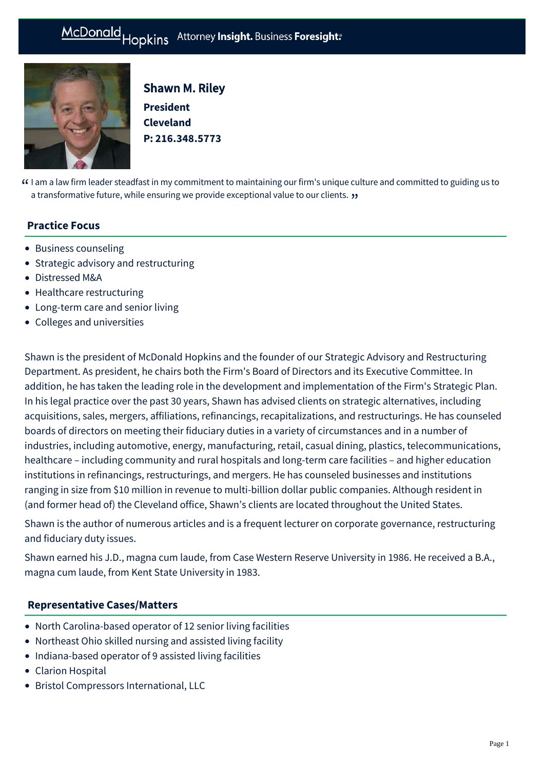

Shawn M. Riley **President Cleveland P: [216.348.5773](tel:216.348.5773)**

 $G$  I am a law firm leader steadfast in my commitment to maintaining our firm's unique culture and committed to guiding us to  $\lambda$  a transformative future, while ensuring we provide exceptional value to our clients  $\lambda$ a transformative future, while ensuring we provide exceptional value to our clients.  $\bm{\mathfrak{y}}$ 

## **Practice Focus**

- [Business counseling](https://mcdonaldhopkins.com/Expertise/Business-counseling)
- [Strategic advisory and restructuring](https://mcdonaldhopkins.com/Expertise/Strategic-advisory-and-restructuring)
- [Distressed M&A](https://mcdonaldhopkins.com/Expertise/Strategic-advisory-and-restructuring/Distressed-M-A)
- [Healthcare restructuring](https://mcdonaldhopkins.com/Expertise/Healthcare/Healthcare-restructuring)
- [Long-term care and senior living](https://mcdonaldhopkins.com/Expertise/Healthcare/Long-term-care-and-senior-living)
- [Colleges and universities](https://mcdonaldhopkins.com/Expertise/Industries/Colleges-and-universities)

Shawn is the president of McDonald Hopkins and the founder of our Strategic Advisory and Restructuring Department. As president, he chairs both the Firm's Board of Directors and its Executive Committee. In addition, he has taken the leading role in the development and implementation of the Firm's Strategic Plan. In his legal practice over the past 30 years, Shawn has advised clients on strategic alternatives, including acquisitions, sales, mergers, affiliations, refinancings, recapitalizations, and restructurings. He has counseled boards of directors on meeting their fiduciary duties in a variety of circumstances and in a number of industries, including automotive, energy, manufacturing, retail, casual dining, plastics, telecommunications, healthcare – including community and rural hospitals and long-term care facilities – and higher education institutions in refinancings, restructurings, and mergers. He has counseled businesses and institutions ranging in size from \$10 million in revenue to multi-billion dollar public companies. Although resident in (and former head of) the Cleveland office, Shawn's clients are located throughout the United States.

Shawn is the author of numerous articles and is a frequent lecturer on corporate governance, restructuring and fiduciary duty issues.

Shawn earned his J.D., magna cum laude, from Case Western Reserve University in 1986. He received a B.A., magna cum laude, from Kent State University in 1983.

## **[Representative Cases/Matters](#page-0-0)**

- <span id="page-0-0"></span>North Carolina-based operator of 12 senior living facilities
- Northeast Ohio skilled nursing and assisted living facility
- Indiana-based operator of 9 assisted living facilities
- Clarion Hospital
- Bristol Compressors International, LLC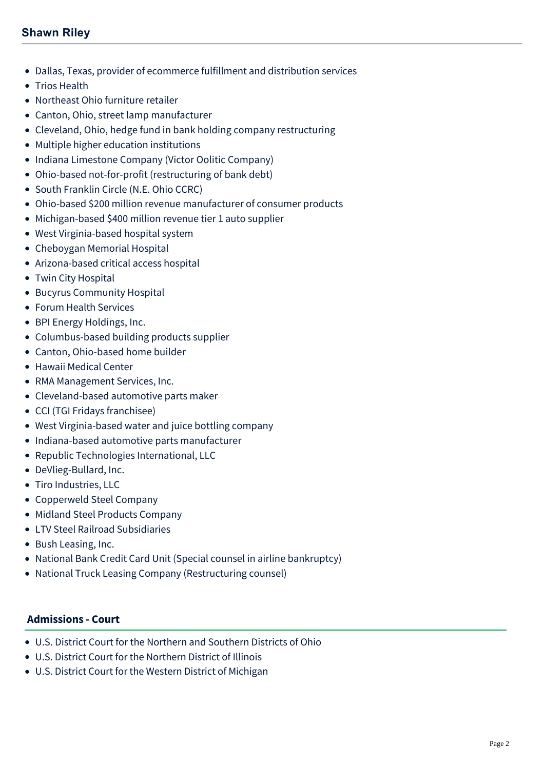# **Shawn Riley**

- Dallas, Texas, provider of ecommerce fulfillment and distribution services
- Trios Health
- Northeast Ohio furniture retailer
- Canton, Ohio, street lamp manufacturer
- Cleveland, Ohio, hedge fund in bank holding company restructuring
- Multiple higher education institutions
- Indiana Limestone Company (Victor Oolitic Company)
- Ohio-based not-for-profit (restructuring of bank debt)
- South Franklin Circle (N.E. Ohio CCRC)
- Ohio-based \$200 million revenue manufacturer of consumer products
- Michigan-based \$400 million revenue tier 1 auto supplier
- West Virginia-based hospital system
- Cheboygan Memorial Hospital
- Arizona-based critical access hospital
- Twin City Hospital
- Bucyrus Community Hospital
- Forum Health Services
- BPI Energy Holdings, Inc.
- Columbus-based building products supplier
- Canton, Ohio-based home builder
- Hawaii Medical Center
- RMA Management Services, Inc.
- Cleveland-based automotive parts maker
- CCI (TGI Fridays franchisee)
- West Virginia-based water and juice bottling company
- Indiana-based automotive parts manufacturer
- Republic Technologies International, LLC
- DeVlieg-Bullard, Inc.
- Tiro Industries, LLC
- Copperweld Steel Company
- Midland Steel Products Company
- LTV Steel Railroad Subsidiaries
- Bush Leasing, Inc.
- National Bank Credit Card Unit (Special counsel in airline bankruptcy)
- National Truck Leasing Company (Restructuring counsel)

## **Admissions - Court**

- U.S. District Court for the Northern and Southern Districts of Ohio
- U.S. District Court for the Northern District of Illinois
- U.S. District Court for the Western District of Michigan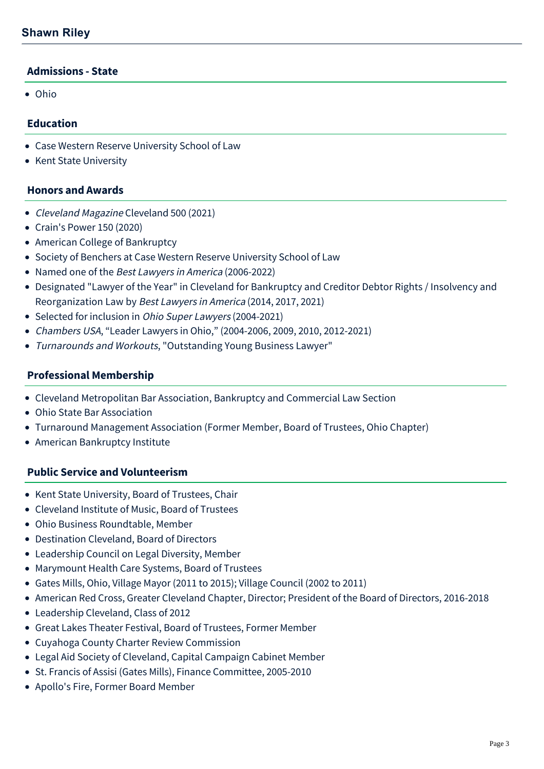## **Admissions - State**

Ohio

### **Education**

- Case Western Reserve University School of Law
- Kent State University

#### **Honors and Awards**

- Cleveland Magazine Cleveland 500 (2021)
- Crain's Power 150 (2020)
- American College of Bankruptcy
- Society of Benchers at Case Western Reserve University School of Law
- Named one of the Best Lawyers in America (2006-2022)
- Designated "Lawyer of the Year" in Cleveland for Bankruptcy and Creditor Debtor Rights / Insolvency and Reorganization Law by Best Lawyers in America (2014, 2017, 2021)
- Selected for inclusion in *Ohio Super Lawyers* (2004-2021)
- Chambers USA, "Leader Lawyers in Ohio," (2004-2006, 2009, 2010, 2012-2021)
- Turnarounds and Workouts, "Outstanding Young Business Lawyer"

#### **Professional Membership**

- Cleveland Metropolitan Bar Association, Bankruptcy and Commercial Law Section
- Ohio State Bar Association
- Turnaround Management Association (Former Member, Board of Trustees, Ohio Chapter)
- American Bankruptcy Institute

#### **Public Service and Volunteerism**

- Kent State University, Board of Trustees, Chair
- Cleveland Institute of Music, Board of Trustees
- Ohio Business Roundtable, Member
- Destination Cleveland, Board of Directors
- Leadership Council on Legal Diversity, Member
- Marymount Health Care Systems, Board of Trustees
- Gates Mills, Ohio, Village Mayor (2011 to 2015); Village Council (2002 to 2011)
- American Red Cross, Greater Cleveland Chapter, Director; President of the Board of Directors, 2016-2018
- Leadership Cleveland, Class of 2012
- Great Lakes Theater Festival, Board of Trustees, Former Member
- Cuyahoga County Charter Review Commission
- Legal Aid Society of Cleveland, Capital Campaign Cabinet Member
- St. Francis of Assisi (Gates Mills), Finance Committee, 2005-2010
- Apollo's Fire, Former Board Member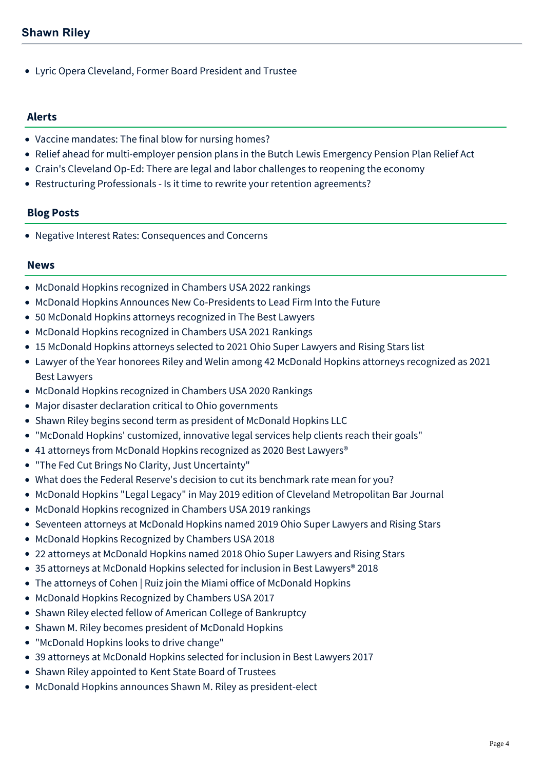Lyric Opera Cleveland, Former Board President and Trustee

### **Alerts**

- [Vaccine mandates: The final blow for nursing homes?](https://mcdonaldhopkins.com/Insights/August-2021/Vaccine-mandates-The-final-blow-for-nursing-homes)
- [Relief ahead for multi-employer pension plans in the Butch Lewis Emergency Pension Plan Relief Act](https://mcdonaldhopkins.com/Insights/March-2021/Relief-ahead-for-multi-employer-pension-plans-in-t)
- [Crain's Cleveland Op-Ed: There are legal and labor challenges to reopening the economy](https://mcdonaldhopkins.com/Insights/May-2020/Crain-s-Cleveland-Op-Ed-There-are-legal-and-labor)
- [Restructuring Professionals Is it time to rewrite your retention agreements?](https://mcdonaldhopkins.com/Insights/July-2016/Restructuring-Professionals-Is-it-time-to-rewrite)

## **Blog Posts**

[Negative Interest Rates: Consequences and Concerns](https://mcdonaldhopkins.com/Insights/March-2015/Negative-Interest-Rates-Consequences-and-Concerns)

#### **News**

- [McDonald Hopkins recognized in Chambers USA 2022 rankings](https://mcdonaldhopkins.com/Insights/June-2022/McDonald-Hopkins-recognized-in-Chambers-USA-2022)
- [McDonald Hopkins Announces New Co-Presidents to Lead Firm Into the Future](https://mcdonaldhopkins.com/Insights/March-2022/McDonald-Hopkins-elects-Giszczak-and-Stief-as-pres)
- [50 McDonald Hopkins attorneys recognized in The Best Lawyers](https://mcdonaldhopkins.com/Insights/August-2021/50-McDonald-Hopkins-attorneys-recognized-in-The-Be)
- [McDonald Hopkins recognized in Chambers USA 2021 Rankings](https://mcdonaldhopkins.com/Insights/May-2021/McDonald-Hopkins-recognized-in-Chambers-USA-2021-R)
- [15 McDonald Hopkins attorneys selected to 2021 Ohio Super Lawyers and Rising Stars list](https://mcdonaldhopkins.com/Insights/December-2020/15-McDonald-Hopkins-attorneys-selected-to-2021-Ohi)
- [Lawyer of the Year honorees Riley and Welin among 42 McDonald Hopkins attorneys recognized as 2021](https://mcdonaldhopkins.com/Insights/August-2020/Lawyer-of-the-Year-honorees-Riley-and-Welin-among) Best Lawyers
- [McDonald Hopkins recognized in Chambers USA 2020 Rankings](https://mcdonaldhopkins.com/Insights/April-2020/McDonald-Hopkins-recognized-in-Chambers-USA-2020-R)
- [Major disaster declaration critical to Ohio governments](https://mcdonaldhopkins.com/Insights/March-2020/Major-disaster-declaration-critical-to-Ohio-govern)
- [Shawn Riley begins second term as president of McDonald Hopkins LLC](https://mcdonaldhopkins.com/Insights/October-2019/Shawn-Riley-begins-second-term-as-president-of-McD)
- ["McDonald Hopkins' customized, innovative legal services help clients reach their goals"](https://mcdonaldhopkins.com/Insights/September-2019/McDonald-Hopkins-customized-innovative-legal-servi)
- 41 attorneys from McDonald Hopkins recognized as 2020 Best Lawyers<sup>®</sup>
- ["The Fed Cut Brings No Clarity, Just Uncertainty"](https://mcdonaldhopkins.com/Insights/August-2019/The-Fed-Cut-Brings-No-Clarity-Just-Uncertainty)
- [What does the Federal Reserve's decision to cut its benchmark rate mean for you?](https://mcdonaldhopkins.com/Insights/July-2019/What-the-Fed-decision-to-cut-benchmark-rate-means)
- [McDonald Hopkins "Legal Legacy" in May 2019 edition of Cleveland Metropolitan Bar Journal](https://mcdonaldhopkins.com/Insights/May-2019/McDonald-Hopkins-Legal-Legacy-in-the-Cleveland-Met)
- [McDonald Hopkins recognized in Chambers USA 2019 rankings](https://mcdonaldhopkins.com/Insights/April-2019/McDonald-Hopkins-recognized-in-Chambers-USA-2019-r)
- [Seventeen attorneys at McDonald Hopkins named 2019 Ohio Super Lawyers and Rising Stars](https://mcdonaldhopkins.com/Insights/December-2018/Seventeen-attorneys-at-McDonald-Hopkins-named-2019)
- [McDonald Hopkins Recognized by Chambers USA 2018](https://mcdonaldhopkins.com/Insights/May-2018/McDonald-Hopkins-Recognized-by-Chambers-USA-2018)
- [22 attorneys at McDonald Hopkins named 2018 Ohio Super Lawyers and Rising Stars](https://mcdonaldhopkins.com/Insights/December-2017/22-attorneys-at-McDonald-Hopkins-named-2018-Ohio-S)
- [35 attorneys at McDonald Hopkins selected for inclusion in Best Lawyers® 2018](https://mcdonaldhopkins.com/Insights/August-2017/35-attorneys-at-McDonald-Hopkins-selected-for-incl)
- [The attorneys of Cohen | Ruiz join the Miami office of McDonald Hopkins](https://mcdonaldhopkins.com/Insights/June-2017/The-attorneys-of-Cohen-Ruiz-join-the-Miami-office)
- [McDonald Hopkins Recognized by Chambers USA 2017](https://mcdonaldhopkins.com/Insights/May-2017/McDonald-Hopkins-Recognized-by-Chambers-USA-2017)
- [Shawn Riley elected fellow of American College of Bankruptcy](https://mcdonaldhopkins.com/Insights/March-2017/Shawn-Riley-elected-fellow-of-American-College-of)
- [Shawn M. Riley becomes president of McDonald Hopkins](https://mcdonaldhopkins.com/Insights/October-2016/Shawn-M-Riley-becomes-president-of-McDonald-Hopkin)
- ["McDonald Hopkins looks to drive change"](https://mcdonaldhopkins.com/Insights/October-2016/McDonald-Hopkins-looks-to-drive-change)
- [39 attorneys at McDonald Hopkins selected for inclusion in Best Lawyers 2017](https://mcdonaldhopkins.com/Insights/August-2016/39-attorneys-at-McDonald-Hopkins-selected-for-incl)
- [Shawn Riley appointed to Kent State Board of Trustees](https://mcdonaldhopkins.com/Insights/May-2016/Shawn-Riley-appointed-to-Kent-State-Board-of-Trust)
- [McDonald Hopkins announces Shawn M. Riley as president-elect](https://mcdonaldhopkins.com/Insights/March-2016/McDonald-Hopkins-announces-Shawn-M-Riley-as-presid)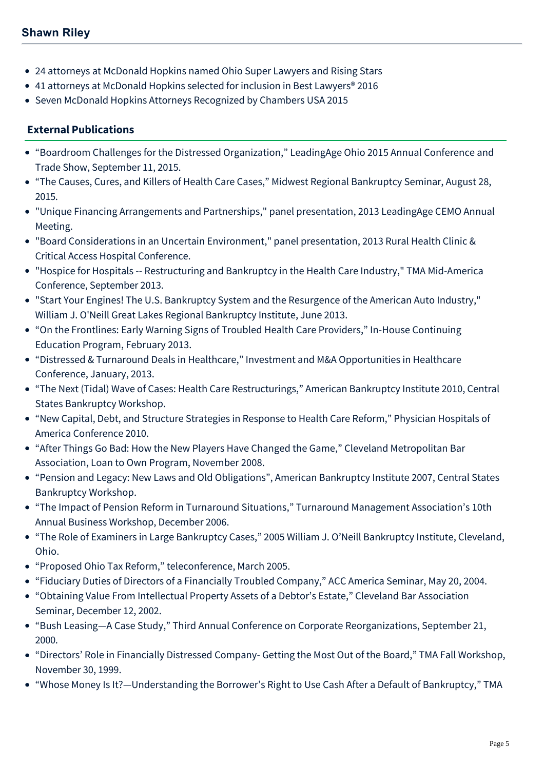- [24 attorneys at McDonald Hopkins named Ohio Super Lawyers and Rising Stars](https://mcdonaldhopkins.com/Insights/December-2015/24-attorneys-at-McDonald-Hopkins-named-Ohio-Super)
- [41 attorneys at McDonald Hopkins selected for inclusion in Best Lawyers® 2016](https://mcdonaldhopkins.com/Insights/August-2015/33-attorneys-at-McDonald-Hopkins-selected-for-incl)
- [Seven McDonald Hopkins Attorneys Recognized by Chambers USA 2015](https://mcdonaldhopkins.com/Insights/May-2015/Seven-McDonald-Hopkins-Attorneys-Recognized-by-Cha)

# **External Publications**

- "Boardroom Challenges for the Distressed Organization," LeadingAge Ohio 2015 Annual Conference and Trade Show, September 11, 2015.
- "The Causes, Cures, and Killers of Health Care Cases," Midwest Regional Bankruptcy Seminar, August 28, 2015.
- "Unique Financing Arrangements and Partnerships," panel presentation, 2013 LeadingAge CEMO Annual Meeting.
- "Board Considerations in an Uncertain Environment," panel presentation, 2013 Rural Health Clinic & Critical Access Hospital Conference.
- "Hospice for Hospitals -- Restructuring and Bankruptcy in the Health Care Industry," TMA Mid-America Conference, September 2013.
- "Start Your Engines! The U.S. Bankruptcy System and the Resurgence of the American Auto Industry," William J. O'Neill Great Lakes Regional Bankruptcy Institute, June 2013.
- "On the Frontlines: Early Warning Signs of Troubled Health Care Providers," In-House Continuing Education Program, February 2013.
- "Distressed & Turnaround Deals in Healthcare," Investment and M&A Opportunities in Healthcare Conference, January, 2013.
- "The Next (Tidal) Wave of Cases: Health Care Restructurings," American Bankruptcy Institute 2010, Central States Bankruptcy Workshop.
- "New Capital, Debt, and Structure Strategies in Response to Health Care Reform," Physician Hospitals of America Conference 2010.
- "After Things Go Bad: How the New Players Have Changed the Game," Cleveland Metropolitan Bar Association, Loan to Own Program, November 2008.
- "Pension and Legacy: New Laws and Old Obligations", American Bankruptcy Institute 2007, Central States Bankruptcy Workshop.
- "The Impact of Pension Reform in Turnaround Situations," Turnaround Management Association's 10th Annual Business Workshop, December 2006.
- "The Role of Examiners in Large Bankruptcy Cases," 2005 William J. O'Neill Bankruptcy Institute, Cleveland, Ohio.
- "Proposed Ohio Tax Reform," teleconference, March 2005.
- "Fiduciary Duties of Directors of a Financially Troubled Company," ACC America Seminar, May 20, 2004.
- "Obtaining Value From Intellectual Property Assets of a Debtor's Estate," Cleveland Bar Association Seminar, December 12, 2002.
- "Bush Leasing—A Case Study," Third Annual Conference on Corporate Reorganizations, September 21, 2000.
- "Directors' Role in Financially Distressed Company- Getting the Most Out of the Board," TMA Fall Workshop, November 30, 1999.
- "Whose Money Is It?—Understanding the Borrower's Right to Use Cash After a Default of Bankruptcy," TMA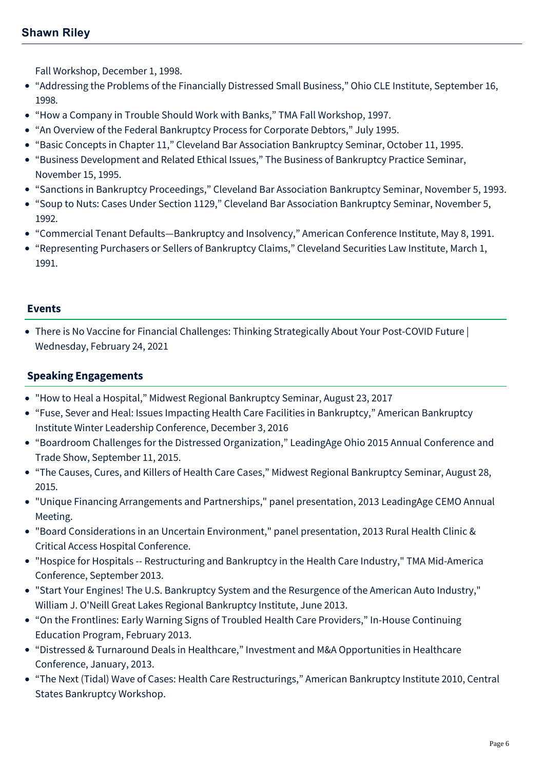# **Shawn Riley**

Fall Workshop, December 1, 1998.

- "Addressing the Problems of the Financially Distressed Small Business," Ohio CLE Institute, September 16, 1998.
- "How a Company in Trouble Should Work with Banks," TMA Fall Workshop, 1997.
- "An Overview of the Federal Bankruptcy Process for Corporate Debtors," July 1995.
- "Basic Concepts in Chapter 11," Cleveland Bar Association Bankruptcy Seminar, October 11, 1995.
- "Business Development and Related Ethical Issues," The Business of Bankruptcy Practice Seminar, November 15, 1995.
- "Sanctions in Bankruptcy Proceedings," Cleveland Bar Association Bankruptcy Seminar, November 5, 1993.
- "Soup to Nuts: Cases Under Section 1129," Cleveland Bar Association Bankruptcy Seminar, November 5, 1992.
- "Commercial Tenant Defaults—Bankruptcy and Insolvency," American Conference Institute, May 8, 1991.
- "Representing Purchasers or Sellers of Bankruptcy Claims," Cleveland Securities Law Institute, March 1, 1991.

## **Events**

[There is No Vaccine for Financial Challenges: Thinking Strategically About Your Post-COVID Future |](https://mcdonaldhopkins.com/Events/2021/There-is-No-Vaccine-for-Financial-Challenges-Think) Wednesday, February 24, 2021

## **Speaking Engagements**

- "How to Heal a Hospital," Midwest Regional Bankruptcy Seminar, August 23, 2017
- "Fuse, Sever and Heal: Issues Impacting Health Care Facilities in Bankruptcy," American Bankruptcy Institute Winter Leadership Conference, December 3, 2016
- "Boardroom Challenges for the Distressed Organization," LeadingAge Ohio 2015 Annual Conference and Trade Show, September 11, 2015.
- "The Causes, Cures, and Killers of Health Care Cases," Midwest Regional Bankruptcy Seminar, August 28, 2015.
- "Unique Financing Arrangements and Partnerships," panel presentation, 2013 LeadingAge CEMO Annual Meeting.
- "Board Considerations in an Uncertain Environment," panel presentation, 2013 Rural Health Clinic & Critical Access Hospital Conference.
- "Hospice for Hospitals -- Restructuring and Bankruptcy in the Health Care Industry," TMA Mid-America Conference, September 2013.
- "Start Your Engines! The U.S. Bankruptcy System and the Resurgence of the American Auto Industry," William J. O'Neill Great Lakes Regional Bankruptcy Institute, June 2013.
- "On the Frontlines: Early Warning Signs of Troubled Health Care Providers," In-House Continuing Education Program, February 2013.
- "Distressed & Turnaround Deals in Healthcare," Investment and M&A Opportunities in Healthcare Conference, January, 2013.
- "The Next (Tidal) Wave of Cases: Health Care Restructurings," American Bankruptcy Institute 2010, Central States Bankruptcy Workshop.